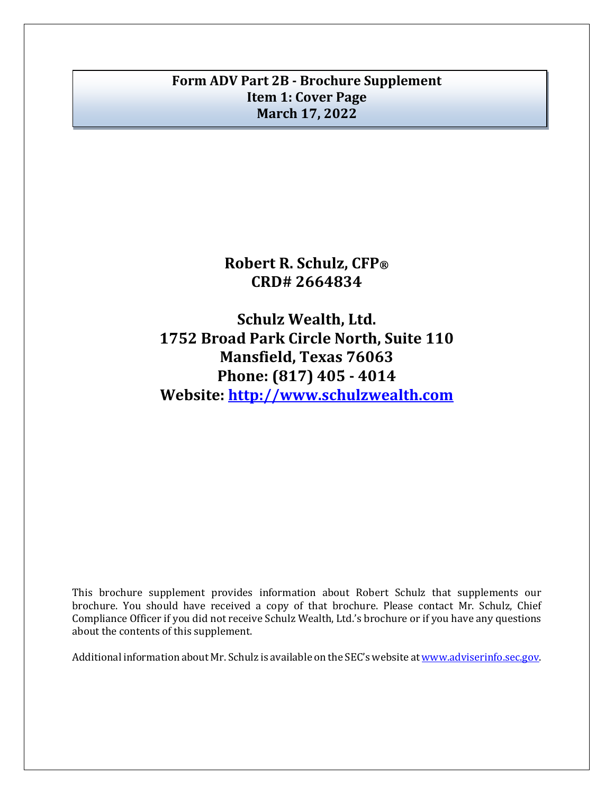# **Form ADV Part 2B - Brochure Supplement Item 1: Cover Page March 17, 2022**

**Robert R. Schulz, CFP® CRD# 2664834**

**Schulz Wealth, Ltd. 1752 Broad Park Circle North, Suite 110 Mansfield, Texas 76063 Phone: (817) 405 - 4014 Website: [http://www.schulzwealth.com](http://www.schulzwealth.com/)**

This brochure supplement provides information about Robert Schulz that supplements our brochure. You should have received a copy of that brochure. Please contact Mr. Schulz, Chief Compliance Officer if you did not receive Schulz Wealth, Ltd.'s brochure or if you have any questions about the contents of this supplement.

Additional information about Mr. Schulz is available on the SEC's website at [www.adviserinfo.sec.gov.](http://www.adviserinfo.sec.gov/)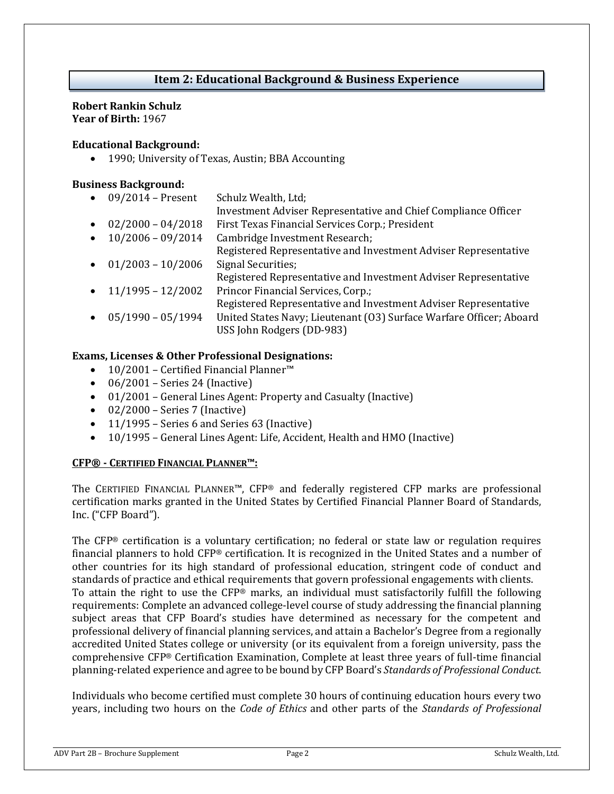# **Item 2: Educational Background & Business Experience**

#### **Robert Rankin Schulz Year of Birth:** 1967

#### **Educational Background:**

• 1990; University of Texas, Austin; BBA Accounting

#### **Business Background:**

• 09/2014 – Present Schulz Wealth, Ltd; Investment Adviser Representative and Chief Compliance Officer • 02/2000 – 04/2018 First Texas Financial Services Corp.; President • 10/2006 – 09/2014 Cambridge Investment Research; Registered Representative and Investment Adviser Representative  $\bullet$  01/2003 - 10/2006 Signal Securities; Registered Representative and Investment Adviser Representative • 11/1995 – 12/2002 Princor Financial Services, Corp.; Registered Representative and Investment Adviser Representative • 05/1990 – 05/1994 United States Navy; Lieutenant (O3) Surface Warfare Officer; Aboard USS John Rodgers (DD-983)

### **Exams, Licenses & Other Professional Designations:**

- 10/2001 Certified Financial Planner™
- $\bullet$  06/2001 Series 24 (Inactive)
- 01/2001 General Lines Agent: Property and Casualty (Inactive)
- $\bullet$  02/2000 Series 7 (Inactive)
- 11/1995 Series 6 and Series 63 (Inactive)
- 10/1995 General Lines Agent: Life, Accident, Health and HMO (Inactive)

### **CFP® - CERTIFIED FINANCIAL PLANNER™:**

The CERTIFIED FINANCIAL PLANNER™, CFP® and federally registered CFP marks are professional certification marks granted in the United States by Certified Financial Planner Board of Standards, Inc. ("CFP Board").

The CFP® certification is a voluntary certification; no federal or state law or regulation requires financial planners to hold CFP® certification. It is recognized in the United States and a number of other countries for its high standard of professional education, stringent code of conduct and standards of practice and ethical requirements that govern professional engagements with clients. To attain the right to use the CFP® marks, an individual must satisfactorily fulfill the following requirements: Complete an advanced college-level course of study addressing the financial planning subject areas that CFP Board's studies have determined as necessary for the competent and professional delivery of financial planning services, and attain a Bachelor's Degree from a regionally accredited United States college or university (or its equivalent from a foreign university, pass the comprehensive CFP® Certification Examination, Complete at least three years of full-time financial planning-related experience and agree to be bound by CFP Board's *Standards of Professional Conduct*.

Individuals who become certified must complete 30 hours of continuing education hours every two years, including two hours on the *Code of Ethics* and other parts of the *Standards of Professional*